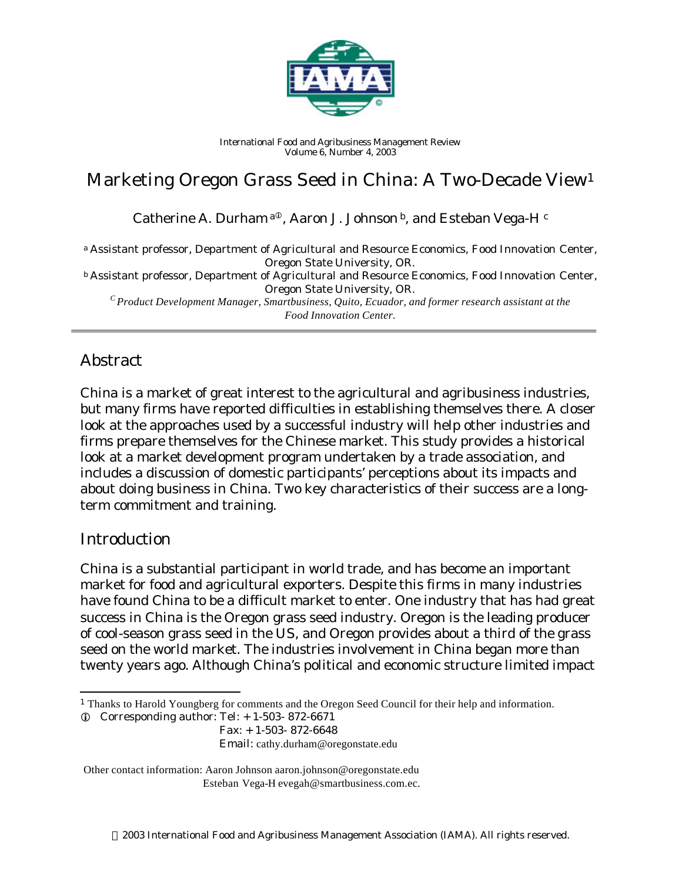

*International Food and Agribusiness Management Review Volume 6, Number 4, 2003*

# Marketing Oregon Grass Seed in China: A Two-Decade View<sup>1</sup>

Catherine A. Durham  $a^{\circ}$ , Aaron J. Johnson  $b$ , and Esteban Vega-H  $c$ 

<sup>a</sup> *Assistant professor, Department of Agricultural and Resource Economics, Food Innovation Center, Oregon State University, OR. <sup>b</sup> Assistant professor, Department of Agricultural and Resource Economics, Food Innovation Center, Oregon State University, OR. <sup>C</sup>Product Development Manager, Smartbusiness, Quito, Ecuador, and former research assistant at the Food Innovation Center.*

### Abstract

China is a market of great interest to the agricultural and agribusiness industries, but many firms have reported difficulties in establishing themselves there. A closer look at the approaches used by a successful industry will help other industries and firms prepare themselves for the Chinese market. This study provides a historical look at a market development program undertaken by a trade association, and includes a discussion of domestic participants' perceptions about its impacts and about doing business in China. Two key characteristics of their success are a longterm commitment and training.

#### Introduction

l

China is a substantial participant in world trade, and has become an important market for food and agricultural exporters. Despite this firms in many industries have found China to be a difficult market to enter. One industry that has had great success in China is the Oregon grass seed industry. Oregon is the leading producer of cool-season grass seed in the US, and Oregon provides about a third of the grass seed on the world market. The industries involvement in China began more than twenty years ago. Although China's political and economic structure limited impact

Email: cathy.durham@oregonstate.edu

Other contact information: Aaron Johnson aaron.johnson@oregonstate.edu Esteban Vega-H evegah@smartbusiness.com.ec.

<sup>1</sup> Thanks to Harold Youngberg for comments and the Oregon Seed Council for their help and information.

 $Q$  Corresponding author: Tel:  $+ 1-503-872-6671$ 

Fax: + 1-503- 872-6648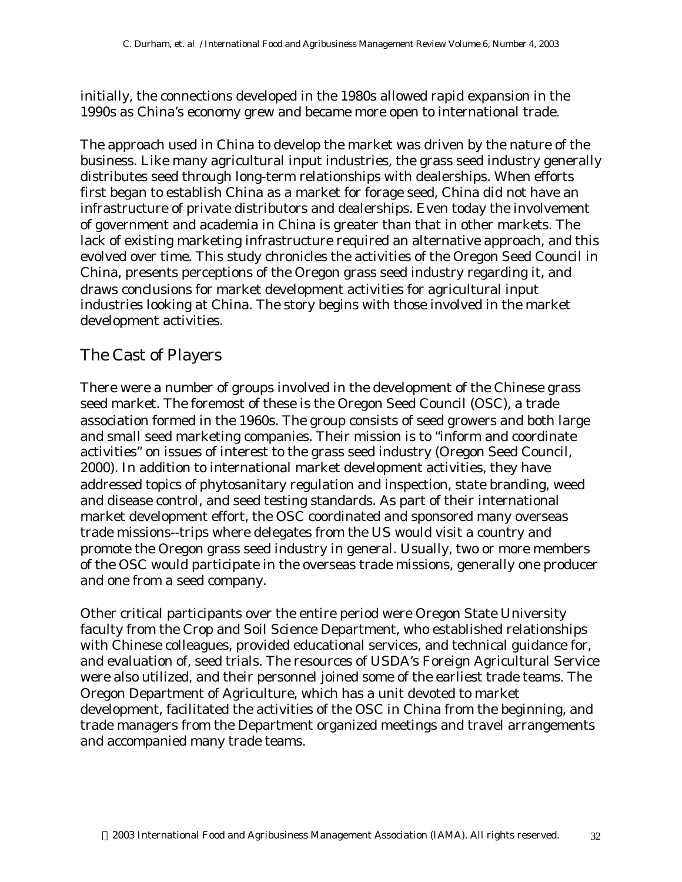initially, the connections developed in the 1980s allowed rapid expansion in the 1990s as China's economy grew and became more open to international trade.

The approach used in China to develop the market was driven by the nature of the business. Like many agricultural input industries, the grass seed industry generally distributes seed through long-term relationships with dealerships. When efforts first began to establish China as a market for forage seed, China did not have an infrastructure of private distributors and dealerships. Even today the involvement of government and academia in China is greater than that in other markets. The lack of existing marketing infrastructure required an alternative approach, and this evolved over time. This study chronicles the activities of the Oregon Seed Council in China, presents perceptions of the Oregon grass seed industry regarding it, and draws conclusions for market development activities for agricultural input industries looking at China. The story begins with those involved in the market development activities.

#### The Cast of Players

There were a number of groups involved in the development of the Chinese grass seed market. The foremost of these is the Oregon Seed Council (OSC), a trade association formed in the 1960s. The group consists of seed growers and both large and small seed marketing companies. Their mission is to "inform and coordinate activities" on issues of interest to the grass seed industry (Oregon Seed Council, 2000). In addition to international market development activities, they have addressed topics of phytosanitary regulation and inspection, state branding, weed and disease control, and seed testing standards. As part of their international market development effort, the OSC coordinated and sponsored many overseas trade missions--trips where delegates from the US would visit a country and promote the Oregon grass seed industry in general. Usually, two or more members of the OSC would participate in the overseas trade missions, generally one producer and one from a seed company.

Other critical participants over the entire period were Oregon State University faculty from the Crop and Soil Science Department, who established relationships with Chinese colleagues, provided educational services, and technical guidance for, and evaluation of, seed trials. The resources of USDA's Foreign Agricultural Service were also utilized, and their personnel joined some of the earliest trade teams. The Oregon Department of Agriculture, which has a unit devoted to market development, facilitated the activities of the OSC in China from the beginning, and trade managers from the Department organized meetings and travel arrangements and accompanied many trade teams.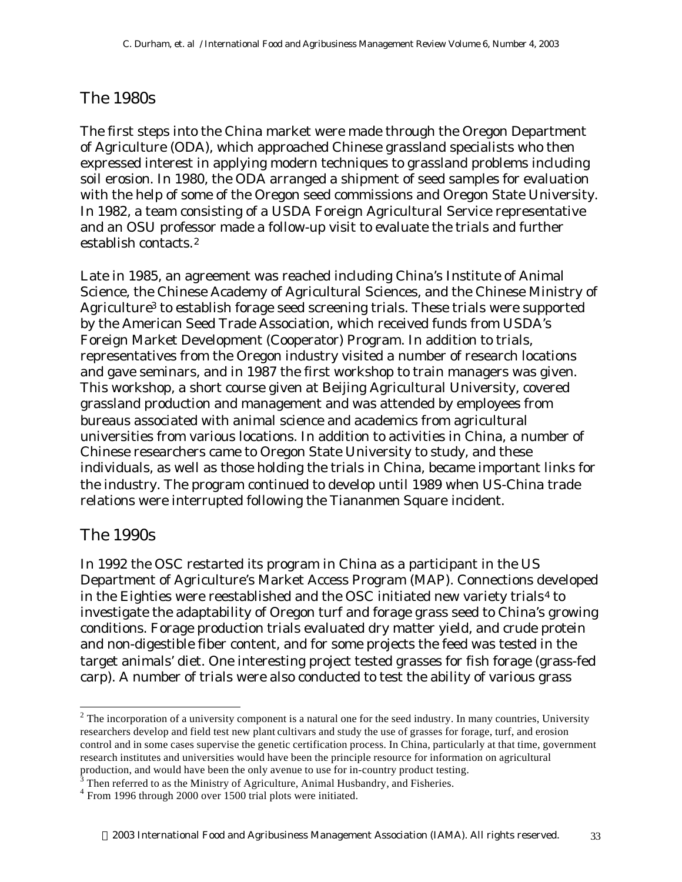## The 1980s

The first steps into the China market were made through the Oregon Department of Agriculture (ODA), which approached Chinese grassland specialists who then expressed interest in applying modern techniques to grassland problems including soil erosion. In 1980, the ODA arranged a shipment of seed samples for evaluation with the help of some of the Oregon seed commissions and Oregon State University. In 1982, a team consisting of a USDA Foreign Agricultural Service representative and an OSU professor made a follow-up visit to evaluate the trials and further establish contacts.<sup>2</sup>

Late in 1985, an agreement was reached including China's Institute of Animal Science, the Chinese Academy of Agricultural Sciences, and the Chinese Ministry of Agriculture3 to establish forage seed screening trials. These trials were supported by the American Seed Trade Association, which received funds from USDA's Foreign Market Development (Cooperator) Program. In addition to trials, representatives from the Oregon industry visited a number of research locations and gave seminars, and in 1987 the first workshop to train managers was given. This workshop, a short course given at Beijing Agricultural University, covered grassland production and management and was attended by employees from bureaus associated with animal science and academics from agricultural universities from various locations. In addition to activities in China, a number of Chinese researchers came to Oregon State University to study, and these individuals, as well as those holding the trials in China, became important links for the industry. The program continued to develop until 1989 when US-China trade relations were interrupted following the Tiananmen Square incident.

### The 1990s

l

In 1992 the OSC restarted its program in China as a participant in the US Department of Agriculture's Market Access Program (MAP). Connections developed in the Eighties were reestablished and the OSC initiated new variety trials<sup>4</sup> to investigate the adaptability of Oregon turf and forage grass seed to China's growing conditions. Forage production trials evaluated dry matter yield, and crude protein and non-digestible fiber content, and for some projects the feed was tested in the target animals' diet. One interesting project tested grasses for fish forage (grass-fed carp). A number of trials were also conducted to test the ability of various grass

 $2$  The incorporation of a university component is a natural one for the seed industry. In many countries, University researchers develop and field test new plant cultivars and study the use of grasses for forage, turf, and erosion control and in some cases supervise the genetic certification process. In China, particularly at that time, government research institutes and universities would have been the principle resource for information on agricultural

production, and would have been the only avenue to use for in-country product testing.<br><sup>3</sup> Then referred to as the Ministry of Agriculture, Animal Husbandry, and Fisheries.

<sup>&</sup>lt;sup>4</sup> From 1996 through 2000 over 1500 trial plots were initiated.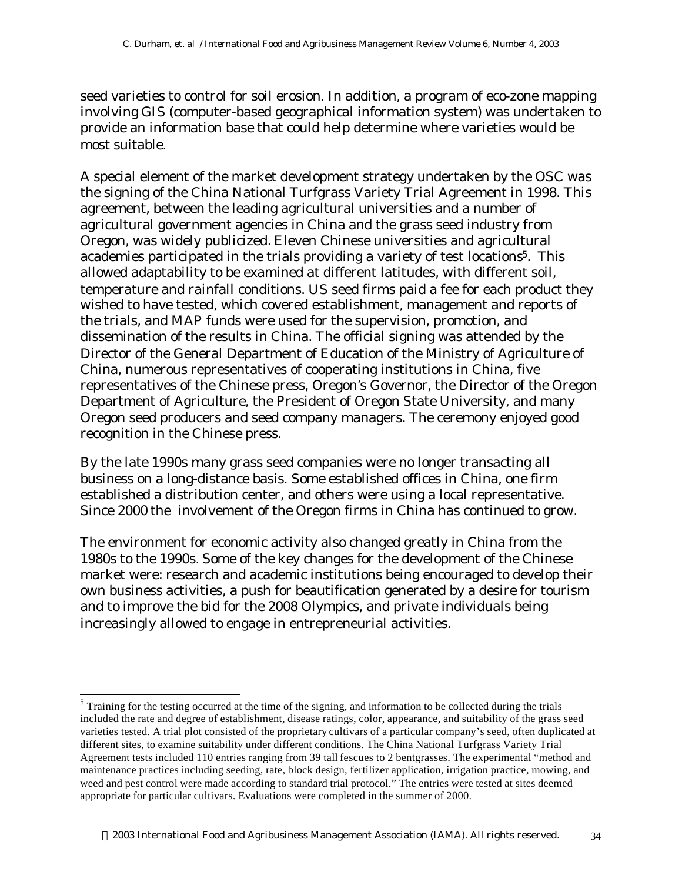seed varieties to control for soil erosion. In addition, a program of eco-zone mapping involving GIS (computer-based geographical information system) was undertaken to provide an information base that could help determine where varieties would be most suitable.

A special element of the market development strategy undertaken by the OSC was the signing of the China National Turfgrass Variety Trial Agreement in 1998. This agreement, between the leading agricultural universities and a number of agricultural government agencies in China and the grass seed industry from Oregon, was widely publicized. Eleven Chinese universities and agricultural academies participated in the trials providing a variety of test locations<sup>5</sup>. This allowed adaptability to be examined at different latitudes, with different soil, temperature and rainfall conditions. US seed firms paid a fee for each product they wished to have tested, which covered establishment, management and reports of the trials, and MAP funds were used for the supervision, promotion, and dissemination of the results in China. The official signing was attended by the Director of the General Department of Education of the Ministry of Agriculture of China, numerous representatives of cooperating institutions in China, five representatives of the Chinese press, Oregon's Governor, the Director of the Oregon Department of Agriculture, the President of Oregon State University, and many Oregon seed producers and seed company managers. The ceremony enjoyed good recognition in the Chinese press.

By the late 1990s many grass seed companies were no longer transacting all business on a long-distance basis. Some established offices in China, one firm established a distribution center, and others were using a local representative. Since 2000 the involvement of the Oregon firms in China has continued to grow.

The environment for economic activity also changed greatly in China from the 1980s to the 1990s. Some of the key changes for the development of the Chinese market were: research and academic institutions being encouraged to develop their own business activities, a push for beautification generated by a desire for tourism and to improve the bid for the 2008 Olympics, and private individuals being increasingly allowed to engage in entrepreneurial activities.

l

 $<sup>5</sup>$  Training for the testing occurred at the time of the signing, and information to be collected during the trials</sup> included the rate and degree of establishment, disease ratings, color, appearance, and suitability of the grass seed varieties tested. A trial plot consisted of the proprietary cultivars of a particular company's seed, often duplicated at different sites, to examine suitability under different conditions. The China National Turfgrass Variety Trial Agreement tests included 110 entries ranging from 39 tall fescues to 2 bentgrasses. The experimental "method and maintenance practices including seeding, rate, block design, fertilizer application, irrigation practice, mowing, and weed and pest control were made according to standard trial protocol." The entries were tested at sites deemed appropriate for particular cultivars. Evaluations were completed in the summer of 2000.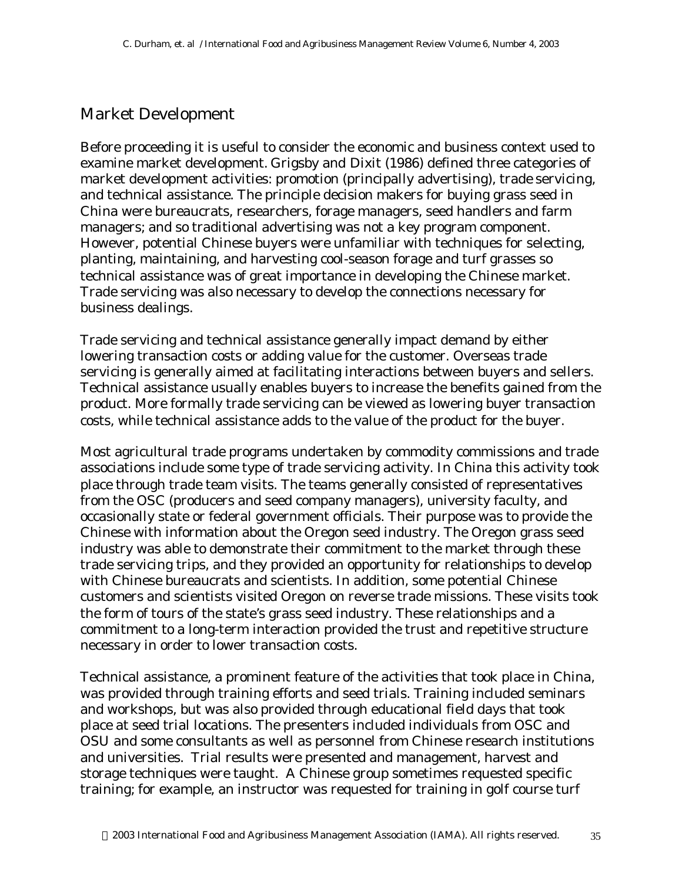#### Market Development

Before proceeding it is useful to consider the economic and business context used to examine market development. Grigsby and Dixit (1986) defined three categories of market development activities: promotion (principally advertising), trade servicing, and technical assistance. The principle decision makers for buying grass seed in China were bureaucrats, researchers, forage managers, seed handlers and farm managers; and so traditional advertising was not a key program component. However, potential Chinese buyers were unfamiliar with techniques for selecting, planting, maintaining, and harvesting cool-season forage and turf grasses so technical assistance was of great importance in developing the Chinese market. Trade servicing was also necessary to develop the connections necessary for business dealings.

Trade servicing and technical assistance generally impact demand by either lowering transaction costs or adding value for the customer. Overseas trade servicing is generally aimed at facilitating interactions between buyers and sellers. Technical assistance usually enables buyers to increase the benefits gained from the product. More formally trade servicing can be viewed as lowering buyer transaction costs, while technical assistance adds to the value of the product for the buyer.

Most agricultural trade programs undertaken by commodity commissions and trade associations include some type of trade servicing activity. In China this activity took place through trade team visits. The teams generally consisted of representatives from the OSC (producers and seed company managers), university faculty, and occasionally state or federal government officials. Their purpose was to provide the Chinese with information about the Oregon seed industry. The Oregon grass seed industry was able to demonstrate their commitment to the market through these trade servicing trips, and they provided an opportunity for relationships to develop with Chinese bureaucrats and scientists. In addition, some potential Chinese customers and scientists visited Oregon on reverse trade missions. These visits took the form of tours of the state's grass seed industry. These relationships and a commitment to a long-term interaction provided the trust and repetitive structure necessary in order to lower transaction costs.

Technical assistance, a prominent feature of the activities that took place in China, was provided through training efforts and seed trials. Training included seminars and workshops, but was also provided through educational field days that took place at seed trial locations. The presenters included individuals from OSC and OSU and some consultants as well as personnel from Chinese research institutions and universities. Trial results were presented and management, harvest and storage techniques were taught. A Chinese group sometimes requested specific training; for example, an instructor was requested for training in golf course turf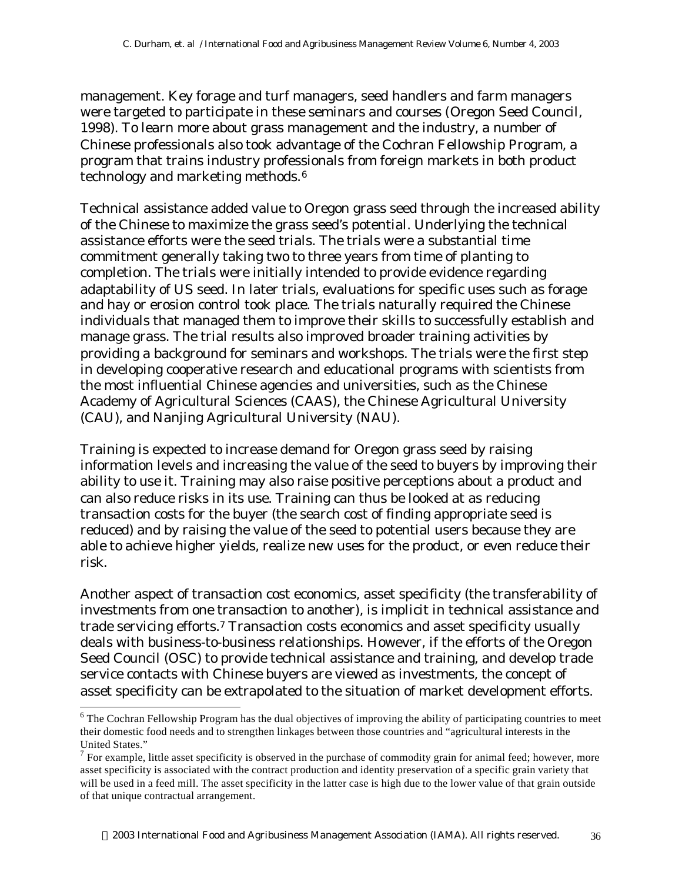management. Key forage and turf managers, seed handlers and farm managers were targeted to participate in these seminars and courses (Oregon Seed Council, 1998). To learn more about grass management and the industry, a number of Chinese professionals also took advantage of the Cochran Fellowship Program, a program that trains industry professionals from foreign markets in both product technology and marketing methods.<sup>6</sup>

Technical assistance added value to Oregon grass seed through the increased ability of the Chinese to maximize the grass seed's potential. Underlying the technical assistance efforts were the seed trials. The trials were a substantial time commitment generally taking two to three years from time of planting to completion. The trials were initially intended to provide evidence regarding adaptability of US seed. In later trials, evaluations for specific uses such as forage and hay or erosion control took place. The trials naturally required the Chinese individuals that managed them to improve their skills to successfully establish and manage grass. The trial results also improved broader training activities by providing a background for seminars and workshops. The trials were the first step in developing cooperative research and educational programs with scientists from the most influential Chinese agencies and universities, such as the Chinese Academy of Agricultural Sciences (CAAS), the Chinese Agricultural University (CAU), and Nanjing Agricultural University (NAU).

Training is expected to increase demand for Oregon grass seed by raising information levels and increasing the value of the seed to buyers by improving their ability to use it. Training may also raise positive perceptions about a product and can also reduce risks in its use. Training can thus be looked at as reducing transaction costs for the buyer (the search cost of finding appropriate seed is reduced) and by raising the value of the seed to potential users because they are able to achieve higher yields, realize new uses for the product, or even reduce their risk.

Another aspect of transaction cost economics, asset specificity (the transferability of investments from one transaction to another), is implicit in technical assistance and trade servicing efforts.7 Transaction costs economics and asset specificity usually deals with business-to-business relationships. However, if the efforts of the Oregon Seed Council (OSC) to provide technical assistance and training, and develop trade service contacts with Chinese buyers are viewed as investments, the concept of asset specificity can be extrapolated to the situation of market development efforts.

l

 $6$  The Cochran Fellowship Program has the dual objectives of improving the ability of participating countries to meet their domestic food needs and to strengthen linkages between those countries and "agricultural interests in the United States."

 $<sup>7</sup>$  For example, little asset specificity is observed in the purchase of commodity grain for animal feed; however, more</sup> asset specificity is associated with the contract production and identity preservation of a specific grain variety that will be used in a feed mill. The asset specificity in the latter case is high due to the lower value of that grain outside of that unique contractual arrangement.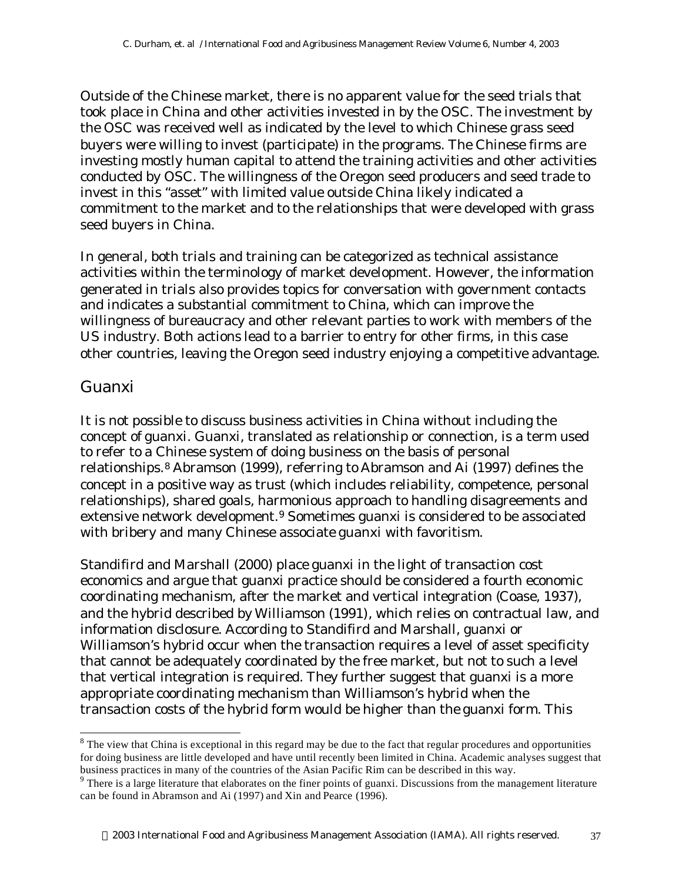Outside of the Chinese market, there is no apparent value for the seed trials that took place in China and other activities invested in by the OSC. The investment by the OSC was received well as indicated by the level to which Chinese grass seed buyers were willing to invest (participate) in the programs. The Chinese firms are investing mostly human capital to attend the training activities and other activities conducted by OSC. The willingness of the Oregon seed producers and seed trade to invest in this "asset" with limited value outside China likely indicated a commitment to the market and to the relationships that were developed with grass seed buyers in China.

In general, both trials and training can be categorized as technical assistance activities within the terminology of market development. However, the information generated in trials also provides topics for conversation with government contacts and indicates a substantial commitment to China, which can improve the willingness of bureaucracy and other relevant parties to work with members of the US industry. Both actions lead to a barrier to entry for other firms, in this case other countries, leaving the Oregon seed industry enjoying a competitive advantage.

#### Guanxi

l

It is not possible to discuss business activities in China without including the concept of guanxi. Guanxi, translated as relationship or connection, is a term used to refer to a Chinese system of doing business on the basis of personal relationships.<sup>8</sup> Abramson (1999), referring to Abramson and Ai (1997) defines the concept in a positive way as trust (which includes reliability, competence, personal relationships), shared goals, harmonious approach to handling disagreements and extensive network development.9 Sometimes guanxi is considered to be associated with bribery and many Chinese associate guanxi with favoritism.

Standifird and Marshall (2000) place guanxi in the light of transaction cost economics and argue that guanxi practice should be considered a fourth economic coordinating mechanism, after the market and vertical integration (Coase, 1937), and the hybrid described by Williamson (1991), which relies on contractual law, and information disclosure. According to Standifird and Marshall, guanxi or Williamson's hybrid occur when the transaction requires a level of asset specificity that cannot be adequately coordinated by the free market, but not to such a level that vertical integration is required. They further suggest that guanxi is a more appropriate coordinating mechanism than Williamson's hybrid when the transaction costs of the hybrid form would be higher than the guanxi form. This

 $8$  The view that China is exceptional in this regard may be due to the fact that regular procedures and opportunities for doing business are little developed and have until recently been limited in China. Academic analyses suggest that business practices in many of the countries of the Asian Pacific Rim can be described in this way.

<sup>&</sup>lt;sup>9</sup> There is a large literature that elaborates on the finer points of guanxi. Discussions from the management literature can be found in Abramson and Ai (1997) and Xin and Pearce (1996).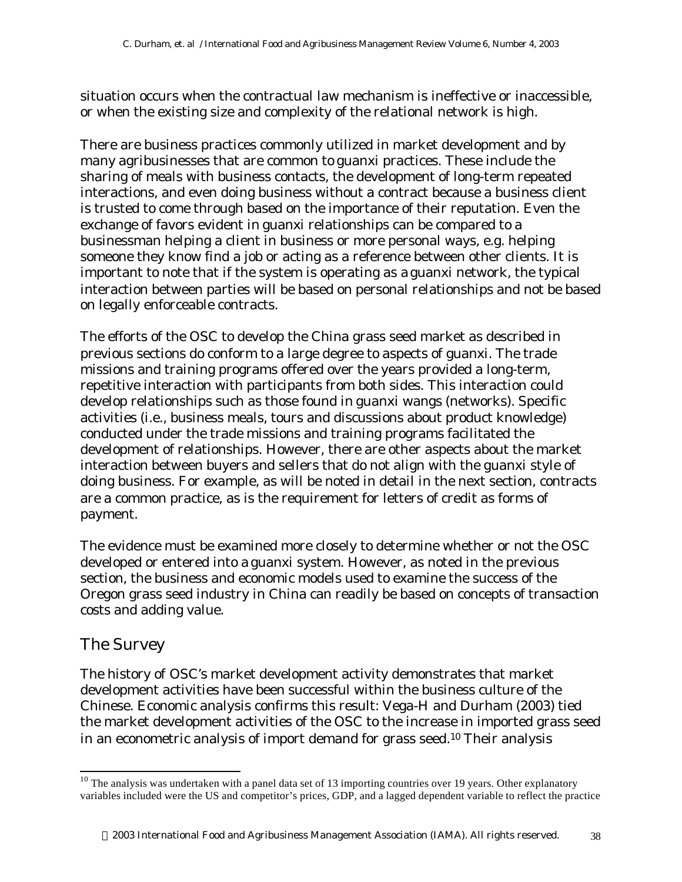situation occurs when the contractual law mechanism is ineffective or inaccessible, or when the existing size and complexity of the relational network is high.

There are business practices commonly utilized in market development and by many agribusinesses that are common to guanxi practices. These include the sharing of meals with business contacts, the development of long-term repeated interactions, and even doing business without a contract because a business client is trusted to come through based on the importance of their reputation. Even the exchange of favors evident in guanxi relationships can be compared to a businessman helping a client in business or more personal ways, e.g. helping someone they know find a job or acting as a reference between other clients. It is important to note that if the system is operating as a guanxi network, the typical interaction between parties will be based on personal relationships and not be based on legally enforceable contracts.

The efforts of the OSC to develop the China grass seed market as described in previous sections do conform to a large degree to aspects of guanxi. The trade missions and training programs offered over the years provided a long-term, repetitive interaction with participants from both sides. This interaction could develop relationships such as those found in guanxi wangs (networks). Specific activities (i.e., business meals, tours and discussions about product knowledge) conducted under the trade missions and training programs facilitated the development of relationships. However, there are other aspects about the market interaction between buyers and sellers that do not align with the guanxi style of doing business. For example, as will be noted in detail in the next section, contracts are a common practice, as is the requirement for letters of credit as forms of payment.

The evidence must be examined more closely to determine whether or not the OSC developed or entered into a guanxi system. However, as noted in the previous section, the business and economic models used to examine the success of the Oregon grass seed industry in China can readily be based on concepts of transaction costs and adding value.

#### The Survey

l

The history of OSC's market development activity demonstrates that market development activities have been successful within the business culture of the Chinese. Economic analysis confirms this result: Vega-H and Durham (2003) tied the market development activities of the OSC to the increase in imported grass seed in an econometric analysis of import demand for grass seed.10 Their analysis

 $10$  The analysis was undertaken with a panel data set of 13 importing countries over 19 years. Other explanatory variables included were the US and competitor's prices, GDP, and a lagged dependent variable to reflect the practice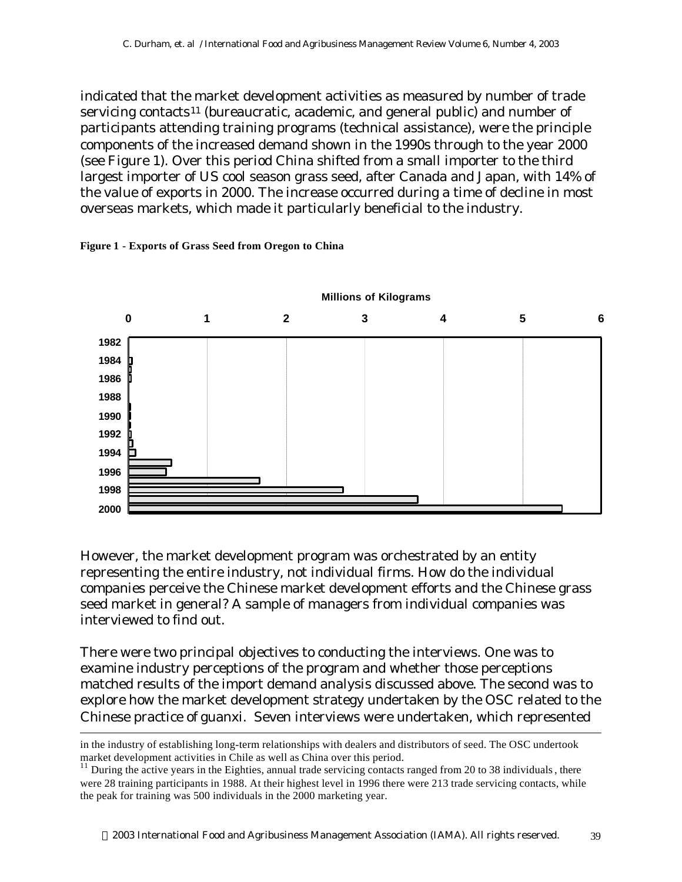indicated that the market development activities as measured by number of trade servicing contacts<sup>11</sup> (bureaucratic, academic, and general public) and number of participants attending training programs (technical assistance), were the principle components of the increased demand shown in the 1990s through to the year 2000 (see Figure 1). Over this period China shifted from a small importer to the third largest importer of US cool season grass seed, after Canada and Japan, with 14% of the value of exports in 2000. The increase occurred during a time of decline in most overseas markets, which made it particularly beneficial to the industry.

#### **Figure 1 - Exports of Grass Seed from Oregon to China**

l



However, the market development program was orchestrated by an entity representing the entire industry, not individual firms. How do the individual companies perceive the Chinese market development efforts and the Chinese grass seed market in general? A sample of managers from individual companies was interviewed to find out.

There were two principal objectives to conducting the interviews. One was to examine industry perceptions of the program and whether those perceptions matched results of the import demand analysis discussed above. The second was to explore how the market development strategy undertaken by the OSC related to the Chinese practice of guanxi. Seven interviews were undertaken, which represented

in the industry of establishing long-term relationships with dealers and distributors of seed. The OSC undertook market development activities in Chile as well as China over this period.

 $11$  During the active years in the Eighties, annual trade servicing contacts ranged from 20 to 38 individuals, there were 28 training participants in 1988. At their highest level in 1996 there were 213 trade servicing contacts, while the peak for training was 500 individuals in the 2000 marketing year.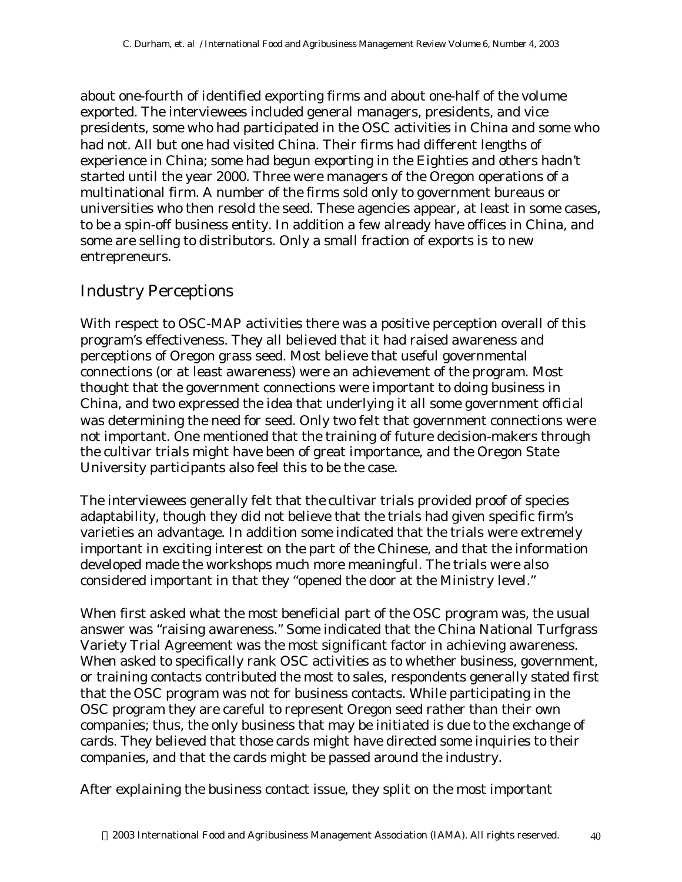about one-fourth of identified exporting firms and about one-half of the volume exported. The interviewees included general managers, presidents, and vice presidents, some who had participated in the OSC activities in China and some who had not. All but one had visited China. Their firms had different lengths of experience in China; some had begun exporting in the Eighties and others hadn't started until the year 2000. Three were managers of the Oregon operations of a multinational firm. A number of the firms sold only to government bureaus or universities who then resold the seed. These agencies appear, at least in some cases, to be a spin-off business entity. In addition a few already have offices in China, and some are selling to distributors. Only a small fraction of exports is to new entrepreneurs.

### Industry Perceptions

With respect to OSC-MAP activities there was a positive perception overall of this program's effectiveness. They all believed that it had raised awareness and perceptions of Oregon grass seed. Most believe that useful governmental connections (or at least awareness) were an achievement of the program. Most thought that the government connections were important to doing business in China, and two expressed the idea that underlying it all some government official was determining the need for seed. Only two felt that government connections were not important. One mentioned that the training of future decision-makers through the cultivar trials might have been of great importance, and the Oregon State University participants also feel this to be the case.

The interviewees generally felt that the cultivar trials provided proof of species adaptability, though they did not believe that the trials had given specific firm's varieties an advantage. In addition some indicated that the trials were extremely important in exciting interest on the part of the Chinese, and that the information developed made the workshops much more meaningful. The trials were also considered important in that they "opened the door at the Ministry level."

When first asked what the most beneficial part of the OSC program was, the usual answer was "raising awareness." Some indicated that the China National Turfgrass Variety Trial Agreement was the most significant factor in achieving awareness. When asked to specifically rank OSC activities as to whether business, government, or training contacts contributed the most to sales, respondents generally stated first that the OSC program was not for business contacts. While participating in the OSC program they are careful to represent Oregon seed rather than their own companies; thus, the only business that may be initiated is due to the exchange of cards. They believed that those cards might have directed some inquiries to their companies, and that the cards might be passed around the industry.

After explaining the business contact issue, they split on the most important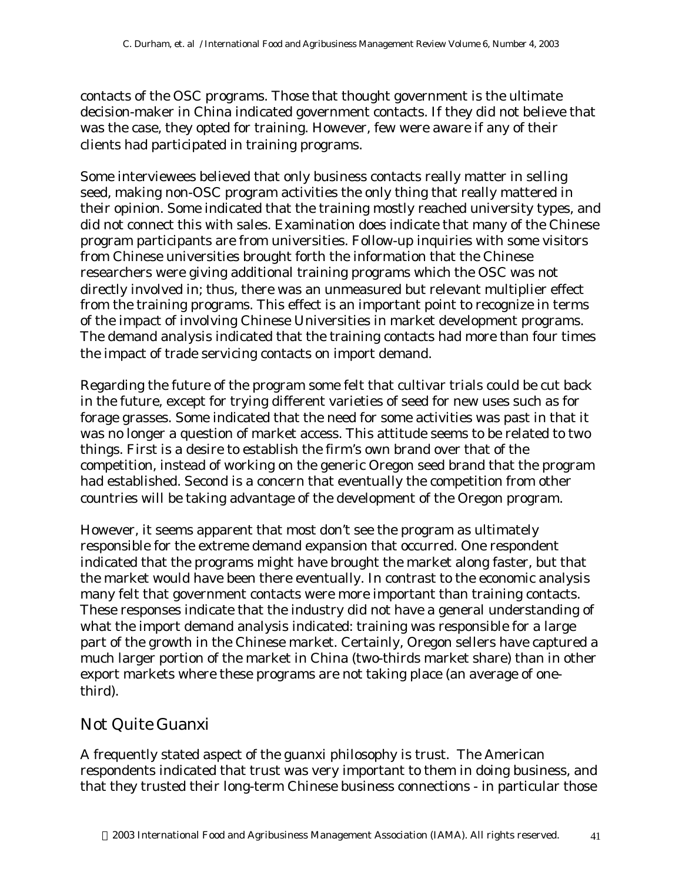contacts of the OSC programs. Those that thought government is the ultimate decision-maker in China indicated government contacts. If they did not believe that was the case, they opted for training. However, few were aware if any of their clients had participated in training programs.

Some interviewees believed that only business contacts really matter in selling seed, making non-OSC program activities the only thing that really mattered in their opinion. Some indicated that the training mostly reached university types, and did not connect this with sales. Examination does indicate that many of the Chinese program participants are from universities. Follow-up inquiries with some visitors from Chinese universities brought forth the information that the Chinese researchers were giving additional training programs which the OSC was not directly involved in; thus, there was an unmeasured but relevant multiplier effect from the training programs. This effect is an important point to recognize in terms of the impact of involving Chinese Universities in market development programs. The demand analysis indicated that the training contacts had more than four times the impact of trade servicing contacts on import demand.

Regarding the future of the program some felt that cultivar trials could be cut back in the future, except for trying different varieties of seed for new uses such as for forage grasses. Some indicated that the need for some activities was past in that it was no longer a question of market access. This attitude seems to be related to two things. First is a desire to establish the firm's own brand over that of the competition, instead of working on the generic Oregon seed brand that the program had established. Second is a concern that eventually the competition from other countries will be taking advantage of the development of the Oregon program.

However, it seems apparent that most don't see the program as ultimately responsible for the extreme demand expansion that occurred. One respondent indicated that the programs might have brought the market along faster, but that the market would have been there eventually. In contrast to the economic analysis many felt that government contacts were more important than training contacts. These responses indicate that the industry did not have a general understanding of what the import demand analysis indicated: training was responsible for a large part of the growth in the Chinese market. Certainly, Oregon sellers have captured a much larger portion of the market in China (two-thirds market share) than in other export markets where these programs are not taking place (an average of onethird).

### *Not Quite Guanxi*

A frequently stated aspect of the guanxi philosophy is trust. The American respondents indicated that trust was very important to them in doing business, and that they trusted their long-term Chinese business connections - in particular those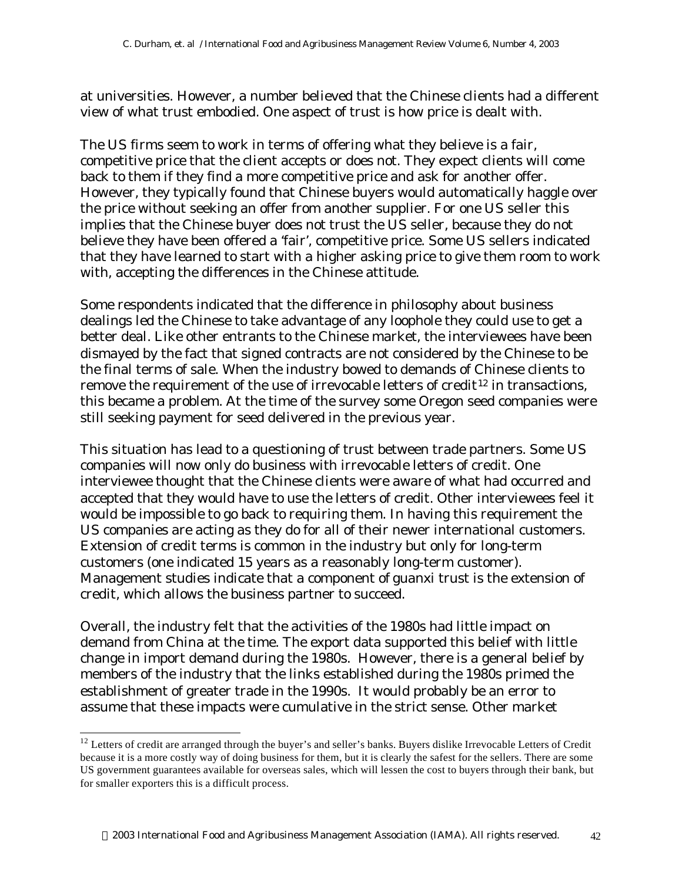at universities. However, a number believed that the Chinese clients had a different view of what trust embodied. One aspect of trust is how price is dealt with.

The US firms seem to work in terms of offering what they believe is a fair, competitive price that the client accepts or does not. They expect clients will come back to them if they find a more competitive price and ask for another offer. However, they typically found that Chinese buyers would automatically haggle over the price without seeking an offer from another supplier. For one US seller this implies that the Chinese buyer does not trust the US seller, because they do not believe they have been offered a 'fair', competitive price. Some US sellers indicated that they have learned to start with a higher asking price to give them room to work with, accepting the differences in the Chinese attitude.

Some respondents indicated that the difference in philosophy about business dealings led the Chinese to take advantage of any loophole they could use to get a better deal. Like other entrants to the Chinese market, the interviewees have been dismayed by the fact that signed contracts are not considered by the Chinese to be the final terms of sale. When the industry bowed to demands of Chinese clients to remove the requirement of the use of irrevocable letters of credit<sup>12</sup> in transactions, this became a problem. At the time of the survey some Oregon seed companies were still seeking payment for seed delivered in the previous year.

This situation has lead to a questioning of trust between trade partners. Some US companies will now only do business with irrevocable letters of credit. One interviewee thought that the Chinese clients were aware of what had occurred and accepted that they would have to use the letters of credit. Other interviewees feel it would be impossible to go back to requiring them. In having this requirement the US companies are acting as they do for all of their newer international customers. Extension of credit terms is common in the industry but only for long-term customers (one indicated 15 years as a reasonably long-term customer). Management studies indicate that a component of guanxi trust is the extension of credit, which allows the business partner to succeed.

Overall, the industry felt that the activities of the 1980s had little impact on demand from China at the time. The export data supported this belief with little change in import demand during the 1980s. However, there is a general belief by members of the industry that the links established during the 1980s primed the establishment of greater trade in the 1990s. It would probably be an error to assume that these impacts were cumulative in the strict sense. Other market

l

 $12$  Letters of credit are arranged through the buyer's and seller's banks. Buyers dislike Irrevocable Letters of Credit because it is a more costly way of doing business for them, but it is clearly the safest for the sellers. There are some US government guarantees available for overseas sales, which will lessen the cost to buyers through their bank, but for smaller exporters this is a difficult process.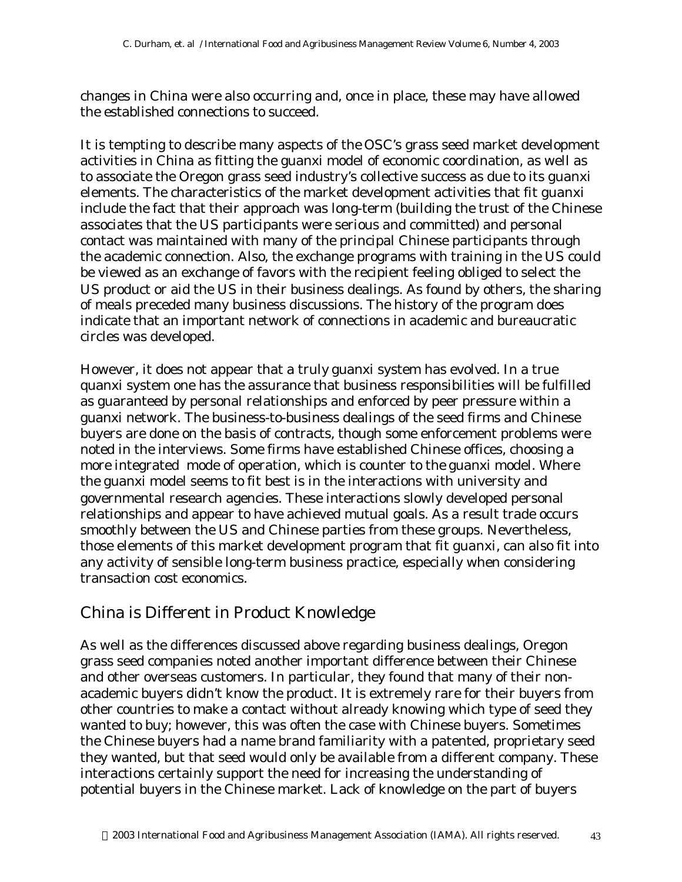changes in China were also occurring and, once in place, these may have allowed the established connections to succeed.

It is tempting to describe many aspects of the OSC's grass seed market development activities in China as fitting the guanxi model of economic coordination, as well as to associate the Oregon grass seed industry's collective success as due to its guanxi elements. The characteristics of the market development activities that fit guanxi include the fact that their approach was long-term (building the trust of the Chinese associates that the US participants were serious and committed) and personal contact was maintained with many of the principal Chinese participants through the academic connection. Also, the exchange programs with training in the US could be viewed as an exchange of favors with the recipient feeling obliged to select the US product or aid the US in their business dealings. As found by others, the sharing of meals preceded many business discussions. The history of the program does indicate that an important network of connections in academic and bureaucratic circles was developed.

However, it does not appear that a truly guanxi system has evolved. In a true quanxi system one has the assurance that business responsibilities will be fulfilled as guaranteed by personal relationships and enforced by peer pressure within a guanxi network. The business-to-business dealings of the seed firms and Chinese buyers are done on the basis of contracts, though some enforcement problems were noted in the interviews. Some firms have established Chinese offices, choosing a more integrated mode of operation, which is counter to the guanxi model. Where the guanxi model seems to fit best is in the interactions with university and governmental research agencies. These interactions slowly developed personal relationships and appear to have achieved mutual goals. As a result trade occurs smoothly between the US and Chinese parties from these groups. Nevertheless, those elements of this market development program that fit guanxi, can also fit into any activity of sensible long-term business practice, especially when considering transaction cost economics.

### China is Different in Product Knowledge

As well as the differences discussed above regarding business dealings, Oregon grass seed companies noted another important difference between their Chinese and other overseas customers. In particular, they found that many of their nonacademic buyers didn't know the product. It is extremely rare for their buyers from other countries to make a contact without already knowing which type of seed they wanted to buy; however, this was often the case with Chinese buyers. Sometimes the Chinese buyers had a name brand familiarity with a patented, proprietary seed they wanted, but that seed would only be available from a different company. These interactions certainly support the need for increasing the understanding of potential buyers in the Chinese market. Lack of knowledge on the part of buyers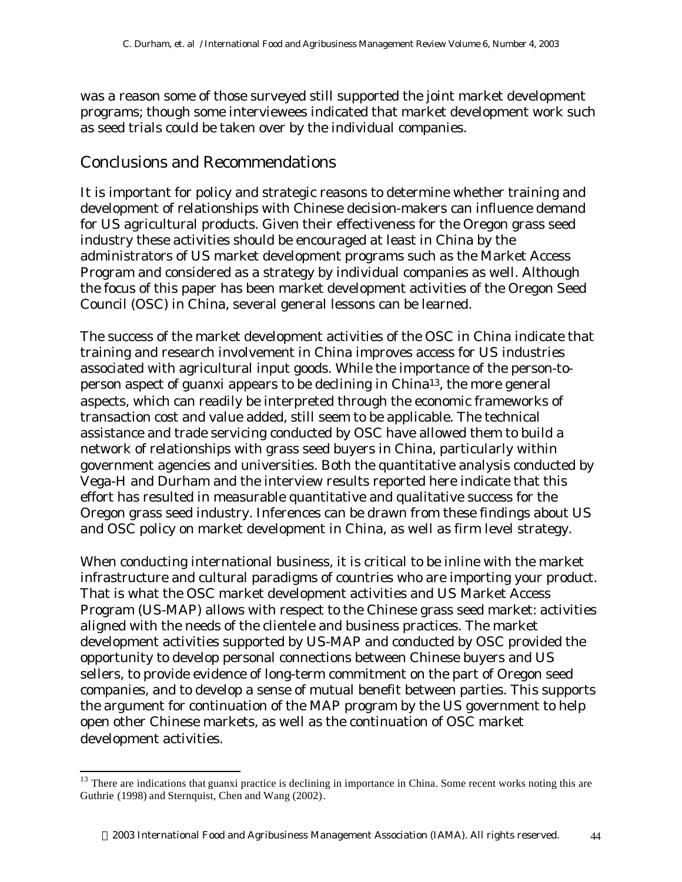was a reason some of those surveyed still supported the joint market development programs; though some interviewees indicated that market development work such as seed trials could be taken over by the individual companies.

#### Conclusions and Recommendations

l

It is important for policy and strategic reasons to determine whether training and development of relationships with Chinese decision-makers can influence demand for US agricultural products. Given their effectiveness for the Oregon grass seed industry these activities should be encouraged at least in China by the administrators of US market development programs such as the Market Access Program and considered as a strategy by individual companies as well. Although the focus of this paper has been market development activities of the Oregon Seed Council (OSC) in China, several general lessons can be learned.

The success of the market development activities of the OSC in China indicate that training and research involvement in China improves access for US industries associated with agricultural input goods. While the importance of the person-toperson aspect of guanxi appears to be declining in China13, the more general aspects, which can readily be interpreted through the economic frameworks of transaction cost and value added, still seem to be applicable. The technical assistance and trade servicing conducted by OSC have allowed them to build a network of relationships with grass seed buyers in China, particularly within government agencies and universities. Both the quantitative analysis conducted by Vega-H and Durham and the interview results reported here indicate that this effort has resulted in measurable quantitative and qualitative success for the Oregon grass seed industry. Inferences can be drawn from these findings about US and OSC policy on market development in China, as well as firm level strategy.

When conducting international business, it is critical to be inline with the market infrastructure and cultural paradigms of countries who are importing your product. That is what the OSC market development activities and US Market Access Program (US-MAP) allows with respect to the Chinese grass seed market: activities aligned with the needs of the clientele and business practices. The market development activities supported by US-MAP and conducted by OSC provided the opportunity to develop personal connections between Chinese buyers and US sellers, to provide evidence of long-term commitment on the part of Oregon seed companies, and to develop a sense of mutual benefit between parties. This supports the argument for continuation of the MAP program by the US government to help open other Chinese markets, as well as the continuation of OSC market development activities.

 $13$  There are indications that guanxi practice is declining in importance in China. Some recent works noting this are Guthrie (1998) and Sternquist, Chen and Wang (2002).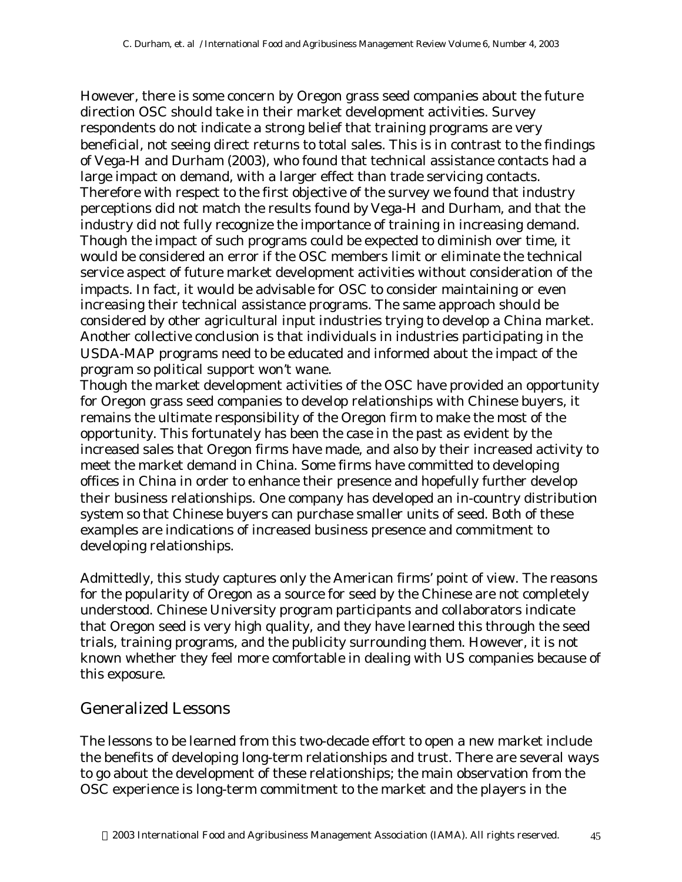However, there is some concern by Oregon grass seed companies about the future direction OSC should take in their market development activities. Survey respondents do not indicate a strong belief that training programs are very beneficial, not seeing direct returns to total sales. This is in contrast to the findings of Vega-H and Durham (2003), who found that technical assistance contacts had a large impact on demand, with a larger effect than trade servicing contacts. Therefore with respect to the first objective of the survey we found that industry perceptions did not match the results found by Vega-H and Durham, and that the industry did not fully recognize the importance of training in increasing demand. Though the impact of such programs could be expected to diminish over time, it would be considered an error if the OSC members limit or eliminate the technical service aspect of future market development activities without consideration of the impacts. In fact, it would be advisable for OSC to consider maintaining or even increasing their technical assistance programs. The same approach should be considered by other agricultural input industries trying to develop a China market. Another collective conclusion is that individuals in industries participating in the USDA-MAP programs need to be educated and informed about the impact of the program so political support won't wane.

Though the market development activities of the OSC have provided an opportunity for Oregon grass seed companies to develop relationships with Chinese buyers, it remains the ultimate responsibility of the Oregon firm to make the most of the opportunity. This fortunately has been the case in the past as evident by the increased sales that Oregon firms have made, and also by their increased activity to meet the market demand in China. Some firms have committed to developing offices in China in order to enhance their presence and hopefully further develop their business relationships. One company has developed an in-country distribution system so that Chinese buyers can purchase smaller units of seed. Both of these examples are indications of increased business presence and commitment to developing relationships.

Admittedly, this study captures only the American firms' point of view. The reasons for the popularity of Oregon as a source for seed by the Chinese are not completely understood. Chinese University program participants and collaborators indicate that Oregon seed is very high quality, and they have learned this through the seed trials, training programs, and the publicity surrounding them. However, it is not known whether they feel more comfortable in dealing with US companies because of this exposure.

### Generalized Lessons

The lessons to be learned from this two-decade effort to open a new market include the benefits of developing long-term relationships and trust. There are several ways to go about the development of these relationships; the main observation from the OSC experience is long-term commitment to the market and the players in the